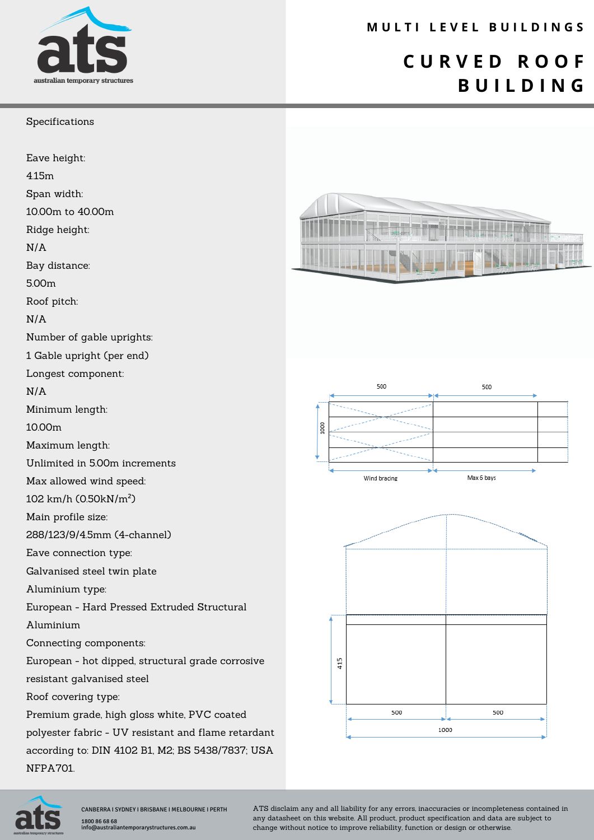

### **M U L T I L E V E L B U I L D I N G S**

## **C U R V E D R O O F B U I L D I N G**

#### Specifications

Eave height: 4.15m Span width: 10.00m to 40.00m

Ridge height:

N/A

Bay distance:

5.00m

Roof pitch:

N/A

Number of gable uprights:

1 Gable upright (per end)

Longest component:

N/A

Minimum length:

10.00m

Maximum length:

Unlimited in 5.00m increments

Max allowed wind speed:

102 km/h (0.50kN/m²)

Main profile size:

288/123/9/4.5mm (4-channel)

Eave connection type:

Galvanised steel twin plate

Aluminium type:

European - Hard Pressed Extruded Structural

Aluminium

Connecting components:

European - hot dipped, structural grade corrosive resistant galvanised steel

Roof covering type:

Premium grade, high gloss white, PVC coated polyester fabric - UV resistant and flame retardant according to: DIN 4102 B1, M2; BS 5438/7837; USA NFPA701.









CANBERRA I SYDNEY I BRISBANE I MELBOURNE I PERTH 1800 86 68 68 os os<br>ustraliantemporarystructures.com.au

ATS disclaim any and all liability for any errors, inaccuracies or incompleteness contained in any datasheet on this website. All product, product specification and data are subject to change without notice to improve reliability, function or design or otherwise.